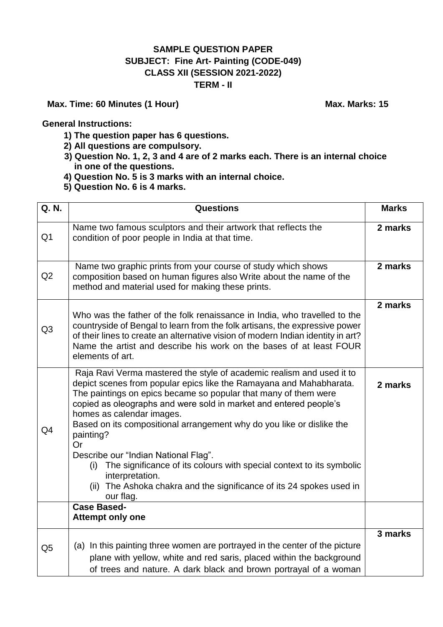## **SAMPLE QUESTION PAPER SUBJECT: Fine Art- Painting (CODE-049) CLASS XII (SESSION 2021-2022) TERM - II**

## **Max. Time: 60 Minutes (1 Hour) Max. Marks: 15**

**General Instructions:**

- **1) The question paper has 6 questions.**
- **2) All questions are compulsory.**
- **3) Question No. 1, 2, 3 and 4 are of 2 marks each. There is an internal choice in one of the questions.**
- **4) Question No. 5 is 3 marks with an internal choice.**
- **5) Question No. 6 is 4 marks.**

| Q. N.          | <b>Questions</b>                                                                                                                                                                                                                                                                                                                                                                                                                                                                                                                                                                                                                                | <b>Marks</b> |
|----------------|-------------------------------------------------------------------------------------------------------------------------------------------------------------------------------------------------------------------------------------------------------------------------------------------------------------------------------------------------------------------------------------------------------------------------------------------------------------------------------------------------------------------------------------------------------------------------------------------------------------------------------------------------|--------------|
| Q <sub>1</sub> | Name two famous sculptors and their artwork that reflects the<br>condition of poor people in India at that time.                                                                                                                                                                                                                                                                                                                                                                                                                                                                                                                                | 2 marks      |
| Q2             | Name two graphic prints from your course of study which shows<br>composition based on human figures also Write about the name of the<br>method and material used for making these prints.                                                                                                                                                                                                                                                                                                                                                                                                                                                       | 2 marks      |
| Q <sub>3</sub> | Who was the father of the folk renaissance in India, who travelled to the<br>countryside of Bengal to learn from the folk artisans, the expressive power<br>of their lines to create an alternative vision of modern Indian identity in art?<br>Name the artist and describe his work on the bases of at least FOUR<br>elements of art.                                                                                                                                                                                                                                                                                                         | 2 marks      |
| Q4             | Raja Ravi Verma mastered the style of academic realism and used it to<br>depict scenes from popular epics like the Ramayana and Mahabharata.<br>The paintings on epics became so popular that many of them were<br>copied as oleographs and were sold in market and entered people's<br>homes as calendar images.<br>Based on its compositional arrangement why do you like or dislike the<br>painting?<br>Or<br>Describe our "Indian National Flag".<br>The significance of its colours with special context to its symbolic<br>(i)<br>interpretation.<br>The Ashoka chakra and the significance of its 24 spokes used in<br>(ii)<br>our flag. | 2 marks      |
|                | <b>Case Based-</b><br><b>Attempt only one</b>                                                                                                                                                                                                                                                                                                                                                                                                                                                                                                                                                                                                   |              |
| Q <sub>5</sub> | (a) In this painting three women are portrayed in the center of the picture<br>plane with yellow, white and red saris, placed within the background<br>of trees and nature. A dark black and brown portrayal of a woman                                                                                                                                                                                                                                                                                                                                                                                                                         | 3 marks      |